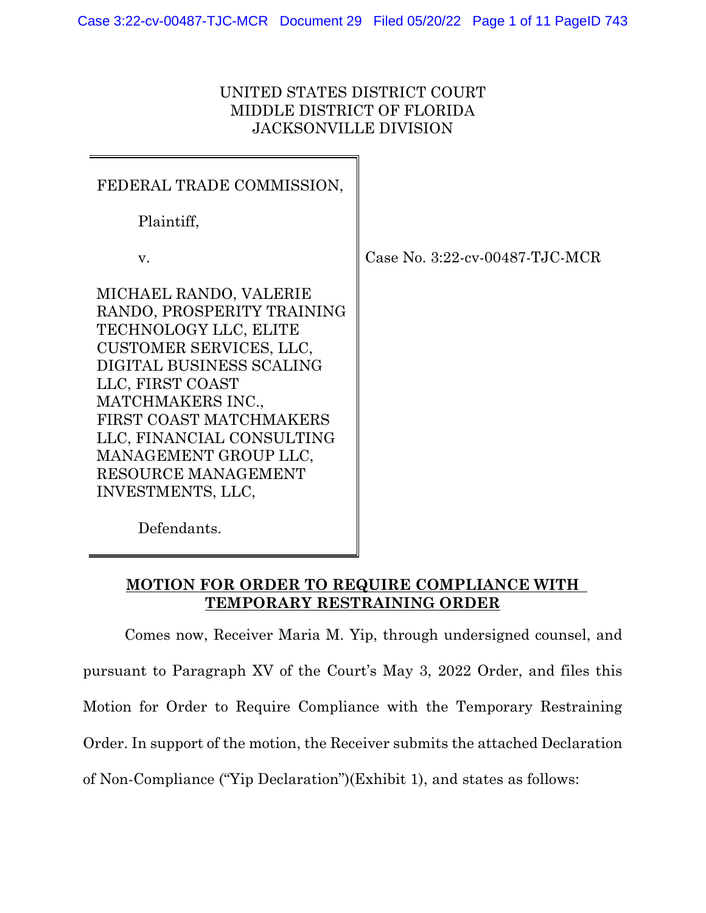## UNITED STATES DISTRICT COURT MIDDLE DISTRICT OF FLORIDA JACKSONVILLE DIVISION

| FEDERAL TRADE COMMISSION,                                                                                                                                                                                                                                                                                  |                                |
|------------------------------------------------------------------------------------------------------------------------------------------------------------------------------------------------------------------------------------------------------------------------------------------------------------|--------------------------------|
| Plaintiff,                                                                                                                                                                                                                                                                                                 |                                |
| V.                                                                                                                                                                                                                                                                                                         | Case No. 3:22-cv-00487-TJC-MCR |
| MICHAEL RANDO, VALERIE<br>RANDO, PROSPERITY TRAINING<br>TECHNOLOGY LLC, ELITE<br>CUSTOMER SERVICES, LLC,<br>DIGITAL BUSINESS SCALING<br>LLC, FIRST COAST<br>MATCHMAKERS INC.,<br>FIRST COAST MATCHMAKERS<br>LLC, FINANCIAL CONSULTING<br>MANAGEMENT GROUP LLC,<br>RESOURCE MANAGEMENT<br>INVESTMENTS, LLC, |                                |

Defendants.

## **MOTION FOR ORDER TO REQUIRE COMPLIANCE WITH TEMPORARY RESTRAINING ORDER**

Comes now, Receiver Maria M. Yip, through undersigned counsel, and pursuant to Paragraph XV of the Court's May 3, 2022 Order, and files this Motion for Order to Require Compliance with the Temporary Restraining Order. In support of the motion, the Receiver submits the attached Declaration of Non-Compliance ("Yip Declaration")(Exhibit 1), and states as follows: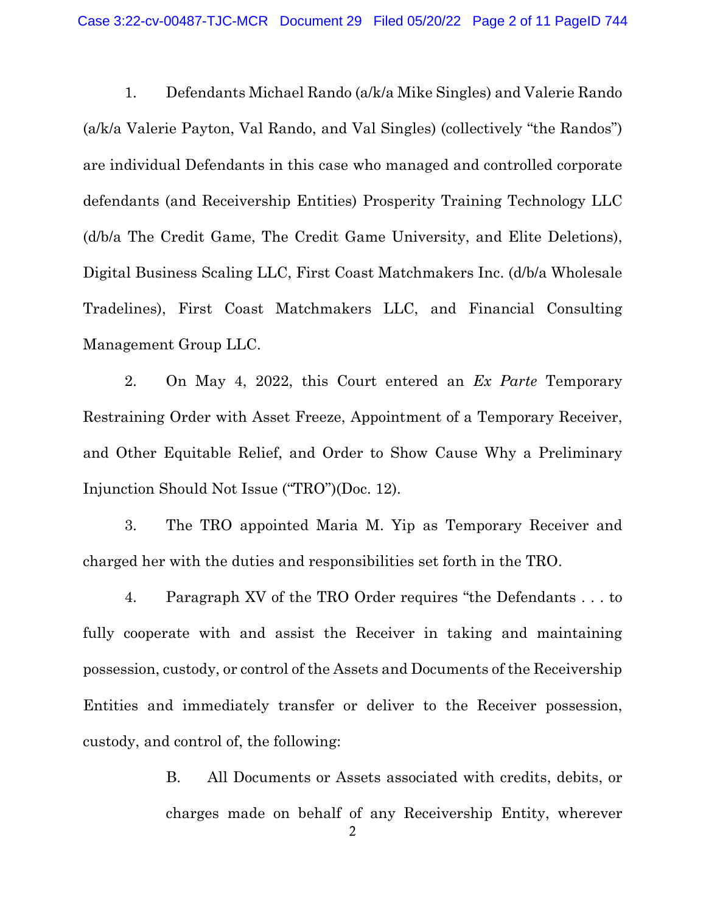1. Defendants Michael Rando (a/k/a Mike Singles) and Valerie Rando (a/k/a Valerie Payton, Val Rando, and Val Singles) (collectively "the Randos") are individual Defendants in this case who managed and controlled corporate defendants (and Receivership Entities) Prosperity Training Technology LLC (d/b/a The Credit Game, The Credit Game University, and Elite Deletions), Digital Business Scaling LLC, First Coast Matchmakers Inc. (d/b/a Wholesale Tradelines), First Coast Matchmakers LLC, and Financial Consulting Management Group LLC.

2. On May 4, 2022, this Court entered an *Ex Parte* Temporary Restraining Order with Asset Freeze, Appointment of a Temporary Receiver, and Other Equitable Relief, and Order to Show Cause Why a Preliminary Injunction Should Not Issue ("TRO")(Doc. 12).

3. The TRO appointed Maria M. Yip as Temporary Receiver and charged her with the duties and responsibilities set forth in the TRO.

4. Paragraph XV of the TRO Order requires "the Defendants . . . to fully cooperate with and assist the Receiver in taking and maintaining possession, custody, or control of the Assets and Documents of the Receivership Entities and immediately transfer or deliver to the Receiver possession, custody, and control of, the following:

> B. All Documents or Assets associated with credits, debits, or charges made on behalf of any Receivership Entity, wherever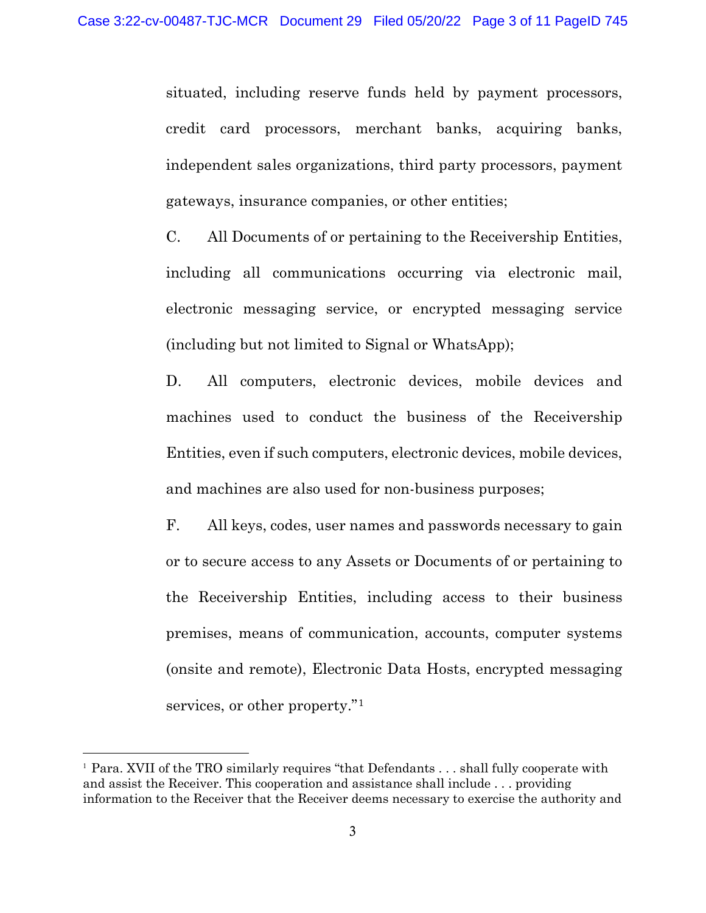situated, including reserve funds held by payment processors, credit card processors, merchant banks, acquiring banks, independent sales organizations, third party processors, payment gateways, insurance companies, or other entities;

C. All Documents of or pertaining to the Receivership Entities, including all communications occurring via electronic mail, electronic messaging service, or encrypted messaging service (including but not limited to Signal or WhatsApp);

D. All computers, electronic devices, mobile devices and machines used to conduct the business of the Receivership Entities, even if such computers, electronic devices, mobile devices, and machines are also used for non-business purposes;

F. All keys, codes, user names and passwords necessary to gain or to secure access to any Assets or Documents of or pertaining to the Receivership Entities, including access to their business premises, means of communication, accounts, computer systems (onsite and remote), Electronic Data Hosts, encrypted messaging services, or other property."<sup>[1](#page-2-0)</sup>

<span id="page-2-0"></span><sup>&</sup>lt;sup>1</sup> Para. XVII of the TRO similarly requires "that Defendants . . . shall fully cooperate with and assist the Receiver. This cooperation and assistance shall include . . . providing information to the Receiver that the Receiver deems necessary to exercise the authority and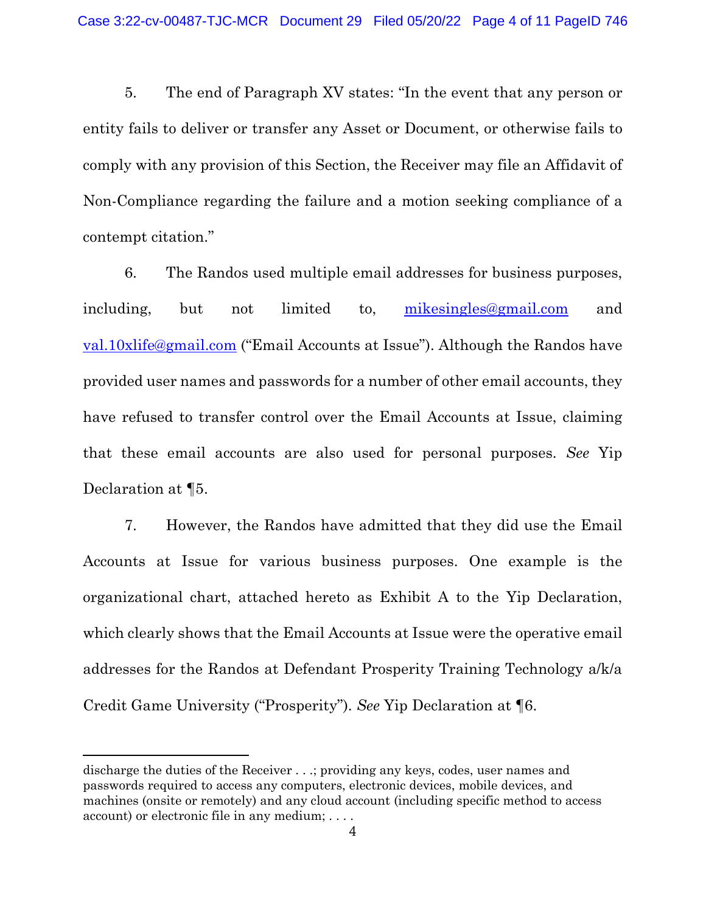5. The end of Paragraph XV states: "In the event that any person or entity fails to deliver or transfer any Asset or Document, or otherwise fails to comply with any provision of this Section, the Receiver may file an Affidavit of Non-Compliance regarding the failure and a motion seeking compliance of a contempt citation."

6. The Randos used multiple email addresses for business purposes, including, but not limited to, [mikesingles@gmail.com](mailto:mikesingles@gmail.com) and [val.10xlife@gmail.com](mailto:val.10xlife@gmail.com) ("Email Accounts at Issue"). Although the Randos have provided user names and passwords for a number of other email accounts, they have refused to transfer control over the Email Accounts at Issue, claiming that these email accounts are also used for personal purposes. *See* Yip Declaration at ¶5.

7. However, the Randos have admitted that they did use the Email Accounts at Issue for various business purposes. One example is the organizational chart, attached hereto as Exhibit A to the Yip Declaration, which clearly shows that the Email Accounts at Issue were the operative email addresses for the Randos at Defendant Prosperity Training Technology a/k/a Credit Game University ("Prosperity"). *See* Yip Declaration at ¶6.

discharge the duties of the Receiver . . .; providing any keys, codes, user names and passwords required to access any computers, electronic devices, mobile devices, and machines (onsite or remotely) and any cloud account (including specific method to access account) or electronic file in any medium; . . . .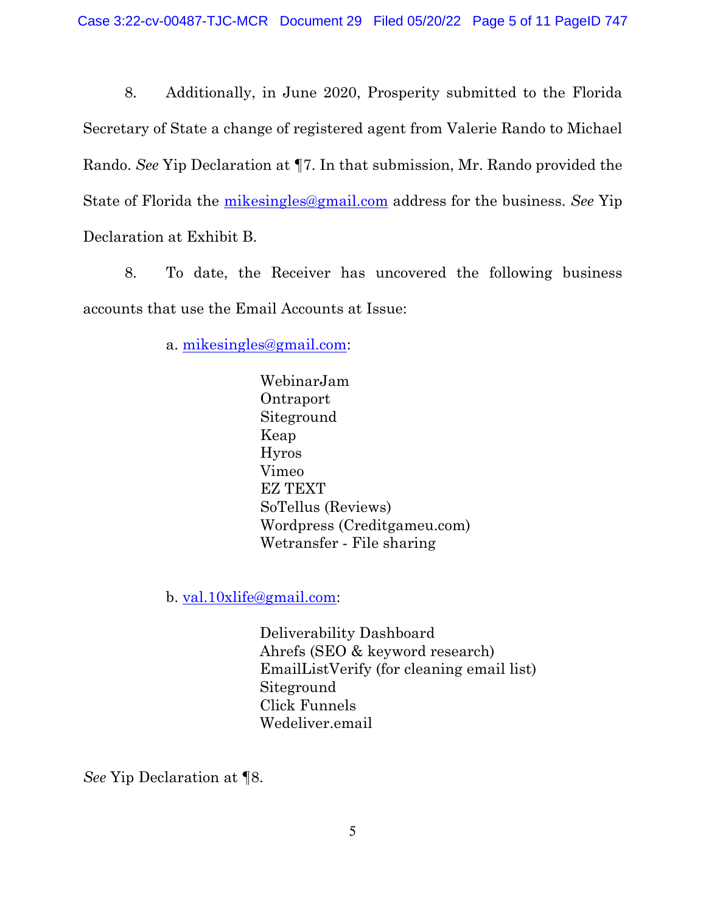8. Additionally, in June 2020, Prosperity submitted to the Florida Secretary of State a change of registered agent from Valerie Rando to Michael Rando. *See* Yip Declaration at ¶7. In that submission, Mr. Rando provided the State of Florida the [mikesingles@gmail.com](mailto:mikesingles@gmail.com) address for the business. *See* Yip Declaration at Exhibit B.

8. To date, the Receiver has uncovered the following business accounts that use the Email Accounts at Issue:

a. [mikesingles@gmail.com:](mailto:mikesingles@gmail.com)

WebinarJam Ontraport Siteground Keap Hyros Vimeo EZ TEXT SoTellus (Reviews) Wordpress (Creditgameu.com) Wetransfer ‐ File sharing

b. [val.10xlife@gmail.com:](mailto:val.10xlife@gmail.com)

Deliverability Dashboard Ahrefs (SEO & keyword research) EmailListVerify (for cleaning email list) Siteground Click Funnels Wedeliver.email

*See* Yip Declaration at ¶8.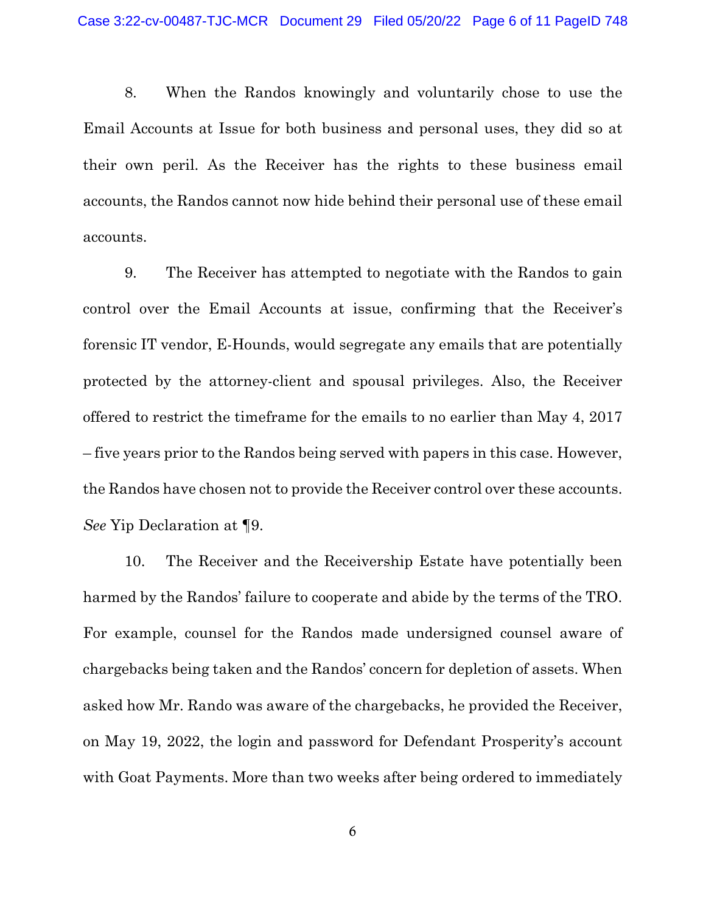8. When the Randos knowingly and voluntarily chose to use the Email Accounts at Issue for both business and personal uses, they did so at their own peril. As the Receiver has the rights to these business email accounts, the Randos cannot now hide behind their personal use of these email accounts.

9. The Receiver has attempted to negotiate with the Randos to gain control over the Email Accounts at issue, confirming that the Receiver's forensic IT vendor, E-Hounds, would segregate any emails that are potentially protected by the attorney-client and spousal privileges. Also, the Receiver offered to restrict the timeframe for the emails to no earlier than May 4, 2017 – five years prior to the Randos being served with papers in this case. However, the Randos have chosen not to provide the Receiver control over these accounts. *See* Yip Declaration at ¶9.

10. The Receiver and the Receivership Estate have potentially been harmed by the Randos' failure to cooperate and abide by the terms of the TRO. For example, counsel for the Randos made undersigned counsel aware of chargebacks being taken and the Randos' concern for depletion of assets. When asked how Mr. Rando was aware of the chargebacks, he provided the Receiver, on May 19, 2022, the login and password for Defendant Prosperity's account with Goat Payments. More than two weeks after being ordered to immediately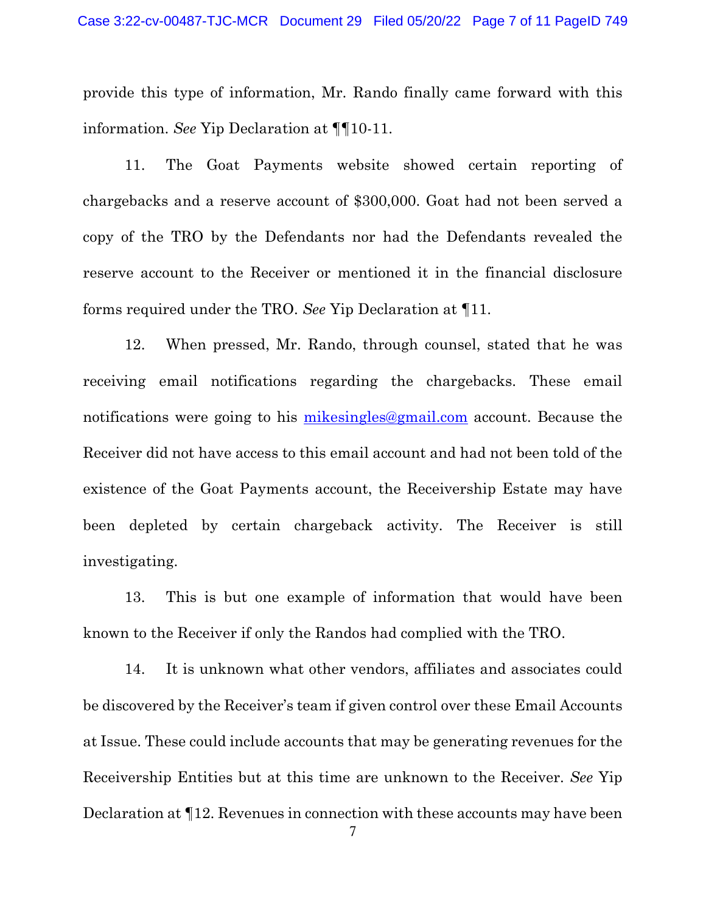provide this type of information, Mr. Rando finally came forward with this information. *See* Yip Declaration at ¶¶10-11.

11. The Goat Payments website showed certain reporting of chargebacks and a reserve account of \$300,000. Goat had not been served a copy of the TRO by the Defendants nor had the Defendants revealed the reserve account to the Receiver or mentioned it in the financial disclosure forms required under the TRO. *See* Yip Declaration at ¶11.

12. When pressed, Mr. Rando, through counsel, stated that he was receiving email notifications regarding the chargebacks. These email notifications were going to his [mikesingles@gmail.com](mailto:mikesingles@gmail.com) account. Because the Receiver did not have access to this email account and had not been told of the existence of the Goat Payments account, the Receivership Estate may have been depleted by certain chargeback activity. The Receiver is still investigating.

13. This is but one example of information that would have been known to the Receiver if only the Randos had complied with the TRO.

14. It is unknown what other vendors, affiliates and associates could be discovered by the Receiver's team if given control over these Email Accounts at Issue. These could include accounts that may be generating revenues for the Receivership Entities but at this time are unknown to the Receiver. *See* Yip Declaration at ¶12. Revenues in connection with these accounts may have been

7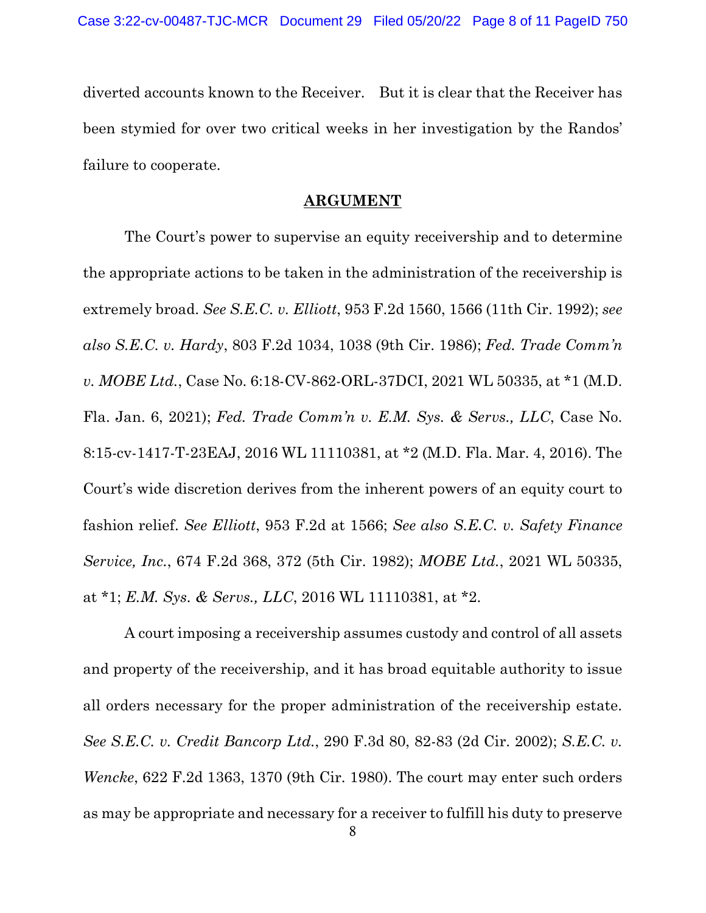diverted accounts known to the Receiver. But it is clear that the Receiver has been stymied for over two critical weeks in her investigation by the Randos' failure to cooperate.

## **ARGUMENT**

The Court's power to supervise an equity receivership and to determine the appropriate actions to be taken in the administration of the receivership is extremely broad. *See S.E.C. v. Elliott*, 953 F.2d 1560, 1566 (11th Cir. 1992); *see also S.E.C. v. Hardy*, 803 F.2d 1034, 1038 (9th Cir. 1986); *Fed. Trade Comm'n v. MOBE Ltd.*, Case No. 6:18-CV-862-ORL-37DCI, 2021 WL 50335, at \*1 (M.D. Fla. Jan. 6, 2021); *Fed. Trade Comm'n v. E.M. Sys. & Servs., LLC*, Case No. 8:15-cv-1417-T-23EAJ, 2016 WL 11110381, at \*2 (M.D. Fla. Mar. 4, 2016). The Court's wide discretion derives from the inherent powers of an equity court to fashion relief. *See Elliott*, 953 F.2d at 1566; *See also S.E.C. v. Safety Finance Service, Inc.*, 674 F.2d 368, 372 (5th Cir. 1982); *MOBE Ltd.*, 2021 WL 50335, at \*1; *E.M. Sys. & Servs., LLC*, 2016 WL 11110381, at \*2.

A court imposing a receivership assumes custody and control of all assets and property of the receivership, and it has broad equitable authority to issue all orders necessary for the proper administration of the receivership estate. *See S.E.C. v. Credit Bancorp Ltd.*, 290 F.3d 80, 82-83 (2d Cir. 2002); *S.E.C. v. Wencke*, 622 F.2d 1363, 1370 (9th Cir. 1980). The court may enter such orders as may be appropriate and necessary for a receiver to fulfill his duty to preserve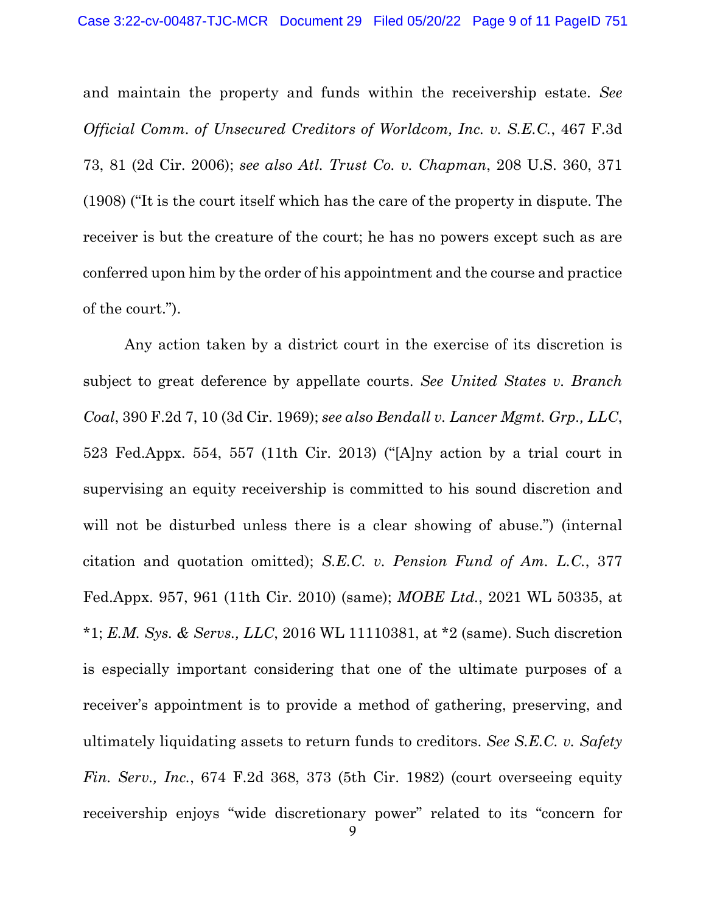and maintain the property and funds within the receivership estate. *See Official Comm. of Unsecured Creditors of Worldcom, Inc. v. S.E.C.*, 467 F.3d 73, 81 (2d Cir. 2006); *see also Atl. Trust Co. v. Chapman*, 208 U.S. 360, 371 (1908) ("It is the court itself which has the care of the property in dispute. The receiver is but the creature of the court; he has no powers except such as are conferred upon him by the order of his appointment and the course and practice of the court.").

Any action taken by a district court in the exercise of its discretion is subject to great deference by appellate courts. *See United States v. Branch Coal*, 390 F.2d 7, 10 (3d Cir. 1969); *see also Bendall v. Lancer Mgmt. Grp., LLC*, 523 Fed.Appx. 554, 557 (11th Cir. 2013) ("[A]ny action by a trial court in supervising an equity receivership is committed to his sound discretion and will not be disturbed unless there is a clear showing of abuse.") (internal citation and quotation omitted); *S.E.C. v. Pension Fund of Am. L.C.*, 377 Fed.Appx. 957, 961 (11th Cir. 2010) (same); *MOBE Ltd.*, 2021 WL 50335, at \*1; *E.M. Sys. & Servs., LLC*, 2016 WL 11110381, at \*2 (same). Such discretion is especially important considering that one of the ultimate purposes of a receiver's appointment is to provide a method of gathering, preserving, and ultimately liquidating assets to return funds to creditors. *See S.E.C. v. Safety Fin. Serv., Inc.*, 674 F.2d 368, 373 (5th Cir. 1982) (court overseeing equity receivership enjoys "wide discretionary power" related to its "concern for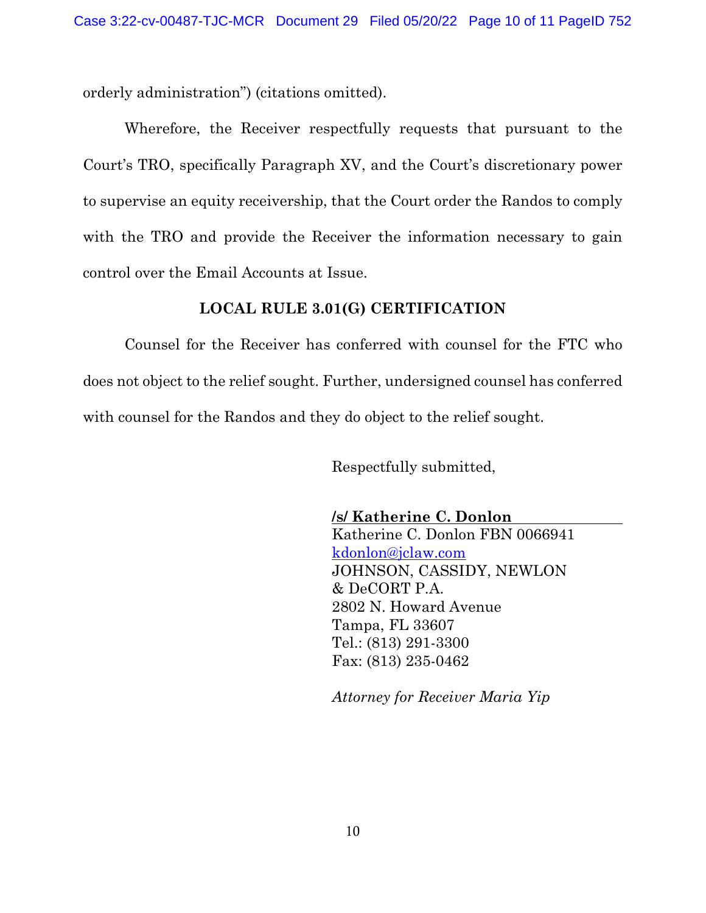orderly administration") (citations omitted).

Wherefore, the Receiver respectfully requests that pursuant to the Court's TRO, specifically Paragraph XV, and the Court's discretionary power to supervise an equity receivership, that the Court order the Randos to comply with the TRO and provide the Receiver the information necessary to gain control over the Email Accounts at Issue.

### **LOCAL RULE 3.01(G) CERTIFICATION**

Counsel for the Receiver has conferred with counsel for the FTC who does not object to the relief sought. Further, undersigned counsel has conferred with counsel for the Randos and they do object to the relief sought.

Respectfully submitted,

**/s/ Katherine C. Donlon**  Katherine C. Donlon FBN 0066941 [kdonlon@jclaw.com](mailto:kdonlon@jclaw.com) JOHNSON, CASSIDY, NEWLON & DeCORT P.A. 2802 N. Howard Avenue Tampa, FL 33607 Tel.: (813) 291-3300 Fax: (813) 235-0462

*Attorney for Receiver Maria Yip*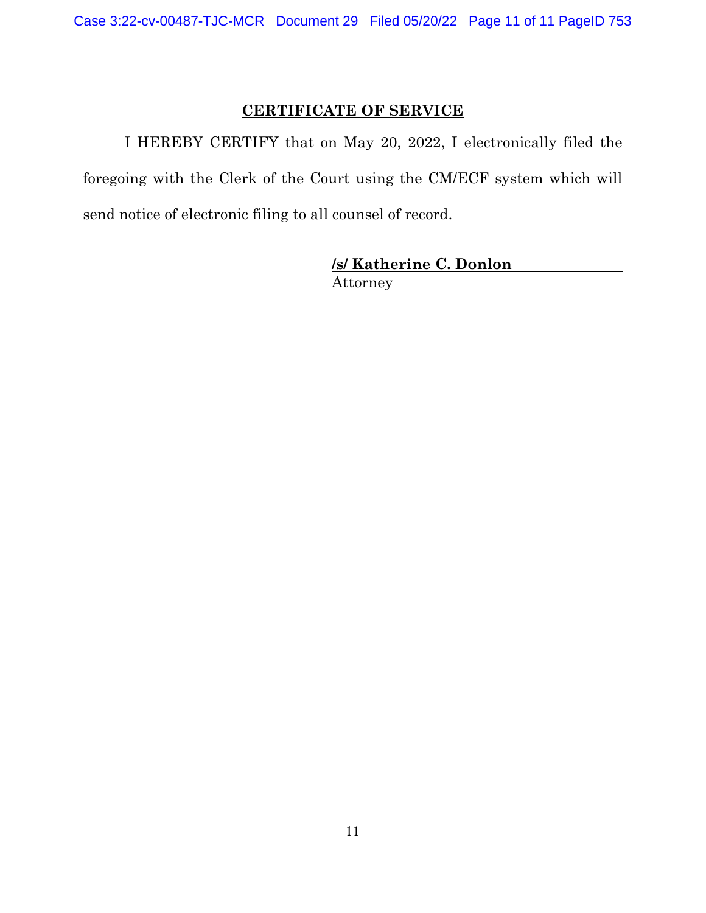# **CERTIFICATE OF SERVICE**

I HEREBY CERTIFY that on May 20, 2022, I electronically filed the foregoing with the Clerk of the Court using the CM/ECF system which will send notice of electronic filing to all counsel of record.

> **/s/ Katherine C. Donlon** Attorney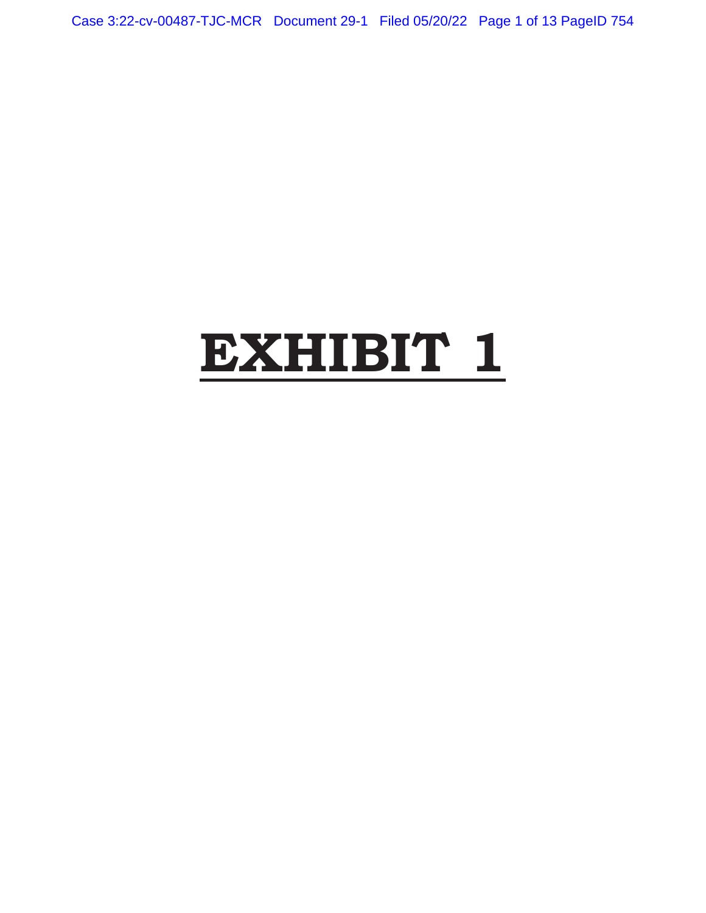Case 3:22-cv-00487-TJC-MCR Document 29-1 Filed 05/20/22 Page 1 of 13 PageID 754

# **EXHIBIT 1**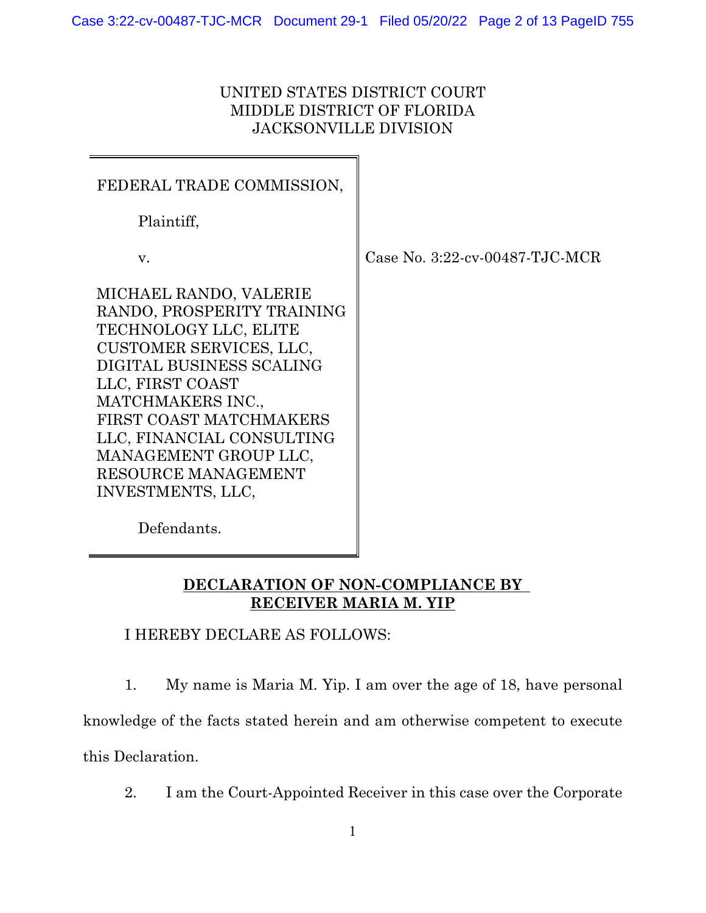## UNITED STATES DISTRICT COURT MIDDLE DISTRICT OF FLORIDA JACKSONVILLE DIVISION

| FEDERAL TRADE COMMISSION,                                                                                                                                                                                                                                                                                  |                     |
|------------------------------------------------------------------------------------------------------------------------------------------------------------------------------------------------------------------------------------------------------------------------------------------------------------|---------------------|
| Plaintiff,                                                                                                                                                                                                                                                                                                 |                     |
| v.                                                                                                                                                                                                                                                                                                         | Case No. $3:22$ -cv |
| MICHAEL RANDO, VALERIE<br>RANDO, PROSPERITY TRAINING<br>TECHNOLOGY LLC, ELITE<br>CUSTOMER SERVICES, LLC,<br>DIGITAL BUSINESS SCALING<br>LLC, FIRST COAST<br>MATCHMAKERS INC.,<br>FIRST COAST MATCHMAKERS<br>LLC, FINANCIAL CONSULTING<br>MANAGEMENT GROUP LLC,<br>RESOURCE MANAGEMENT<br>INVESTMENTS, LLC, |                     |

 $-00487$ -TJC-MCR

Defendants.

# **DECLARATION OF NON-COMPLIANCE BY RECEIVER MARIA M. YIP**

I HEREBY DECLARE AS FOLLOWS:

1. My name is Maria M. Yip. I am over the age of 18, have personal knowledge of the facts stated herein and am otherwise competent to execute this Declaration.

2. I am the Court-Appointed Receiver in this case over the Corporate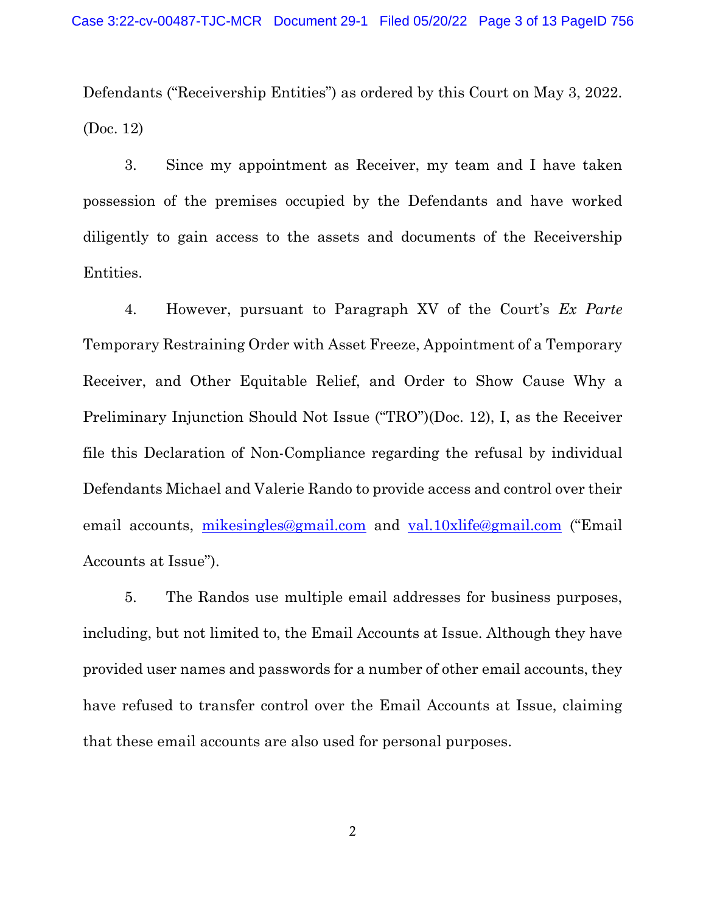Defendants ("Receivership Entities") as ordered by this Court on May 3, 2022. (Doc. 12)

3. Since my appointment as Receiver, my team and I have taken possession of the premises occupied by the Defendants and have worked diligently to gain access to the assets and documents of the Receivership Entities.

4. However, pursuant to Paragraph XV of the Court's *Ex Parte* Temporary Restraining Order with Asset Freeze, Appointment of a Temporary Receiver, and Other Equitable Relief, and Order to Show Cause Why a Preliminary Injunction Should Not Issue ("TRO")(Doc. 12), I, as the Receiver file this Declaration of Non-Compliance regarding the refusal by individual Defendants Michael and Valerie Rando to provide access and control over their email accounts, [mikesingles@gmail.com](mailto:mikesingles@gmail.com) and [val.10xlife@gmail.com](mailto:val.10xlife@gmail.com) ("Email Accounts at Issue").

5. The Randos use multiple email addresses for business purposes, including, but not limited to, the Email Accounts at Issue. Although they have provided user names and passwords for a number of other email accounts, they have refused to transfer control over the Email Accounts at Issue, claiming that these email accounts are also used for personal purposes.

2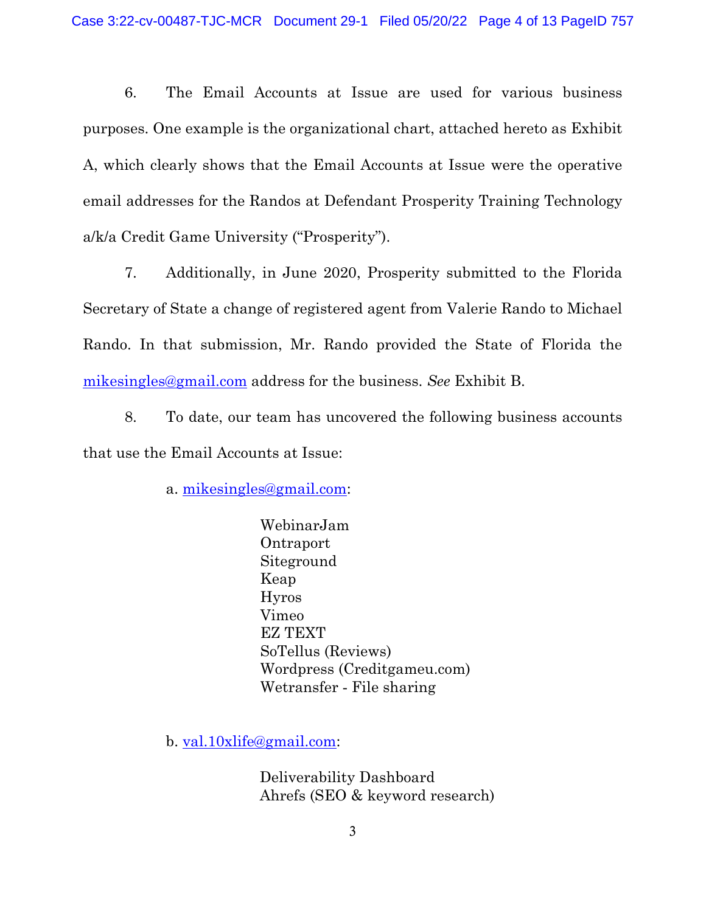6. The Email Accounts at Issue are used for various business purposes. One example is the organizational chart, attached hereto as Exhibit A, which clearly shows that the Email Accounts at Issue were the operative email addresses for the Randos at Defendant Prosperity Training Technology a/k/a Credit Game University ("Prosperity").

7. Additionally, in June 2020, Prosperity submitted to the Florida Secretary of State a change of registered agent from Valerie Rando to Michael Rando. In that submission, Mr. Rando provided the State of Florida the [mikesingles@gmail.com](mailto:mikesingles@gmail.com) address for the business. *See* Exhibit B.

8. To date, our team has uncovered the following business accounts that use the Email Accounts at Issue:

a. [mikesingles@gmail.com:](mailto:mikesingles@gmail.com)

WebinarJam Ontraport Siteground Keap Hyros Vimeo EZ TEXT SoTellus (Reviews) Wordpress (Creditgameu.com) Wetransfer ‐ File sharing

b. [val.10xlife@gmail.com:](mailto:val.10xlife@gmail.com)

Deliverability Dashboard Ahrefs (SEO & keyword research)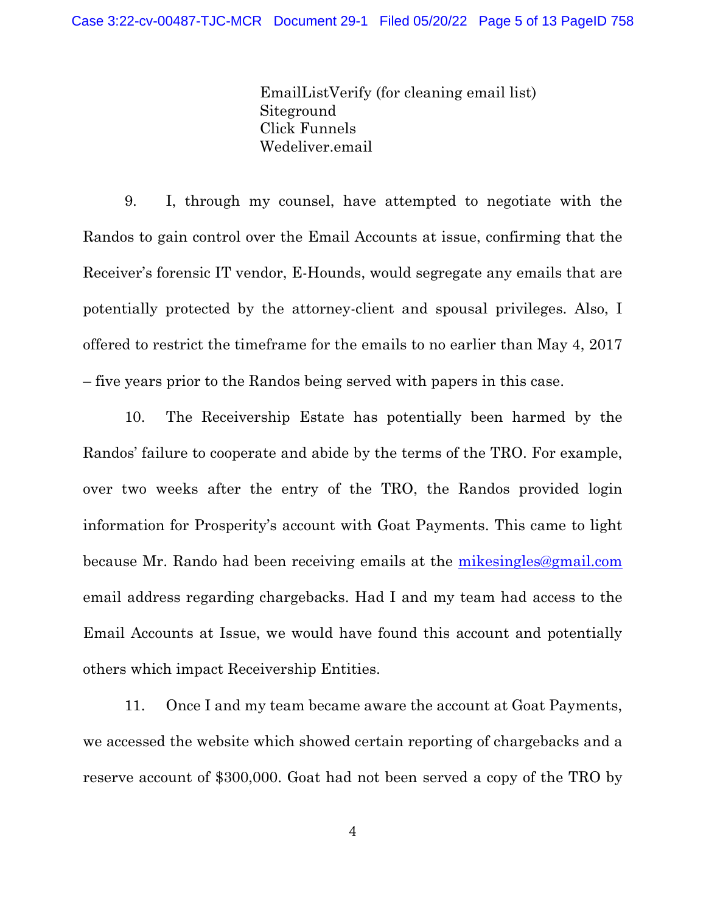EmailListVerify (for cleaning email list) Siteground Click Funnels Wedeliver.email

9. I, through my counsel, have attempted to negotiate with the Randos to gain control over the Email Accounts at issue, confirming that the Receiver's forensic IT vendor, E-Hounds, would segregate any emails that are potentially protected by the attorney-client and spousal privileges. Also, I offered to restrict the timeframe for the emails to no earlier than May 4, 2017 – five years prior to the Randos being served with papers in this case.

10. The Receivership Estate has potentially been harmed by the Randos' failure to cooperate and abide by the terms of the TRO. For example, over two weeks after the entry of the TRO, the Randos provided login information for Prosperity's account with Goat Payments. This came to light because Mr. Rando had been receiving emails at the *mikesingles@gmail.com* email address regarding chargebacks. Had I and my team had access to the Email Accounts at Issue, we would have found this account and potentially others which impact Receivership Entities.

11. Once I and my team became aware the account at Goat Payments, we accessed the website which showed certain reporting of chargebacks and a reserve account of \$300,000. Goat had not been served a copy of the TRO by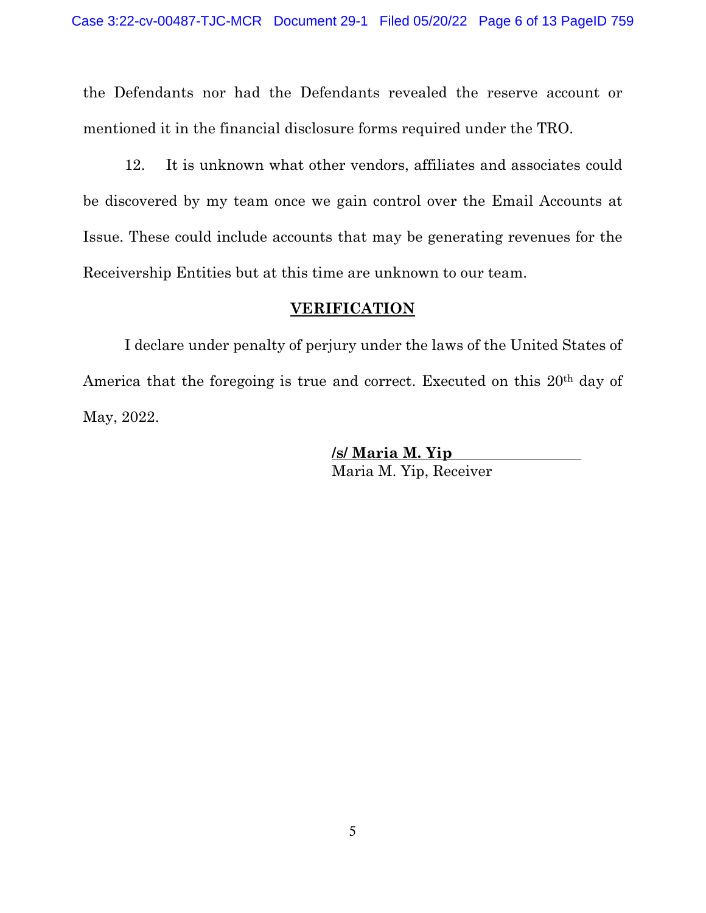the Defendants nor had the Defendants revealed the reserve account or mentioned it in the financial disclosure forms required under the TRO.

12. It is unknown what other vendors, affiliates and associates could be discovered by my team once we gain control over the Email Accounts at Issue. These could include accounts that may be generating revenues for the Receivership Entities but at this time are unknown to our team.

### **VERIFICATION**

I declare under penalty of perjury under the laws of the United States of America that the foregoing is true and correct. Executed on this 20<sup>th</sup> day of May, 2022.

> **/s/ Maria M. Yip** Maria M. Yip, Receiver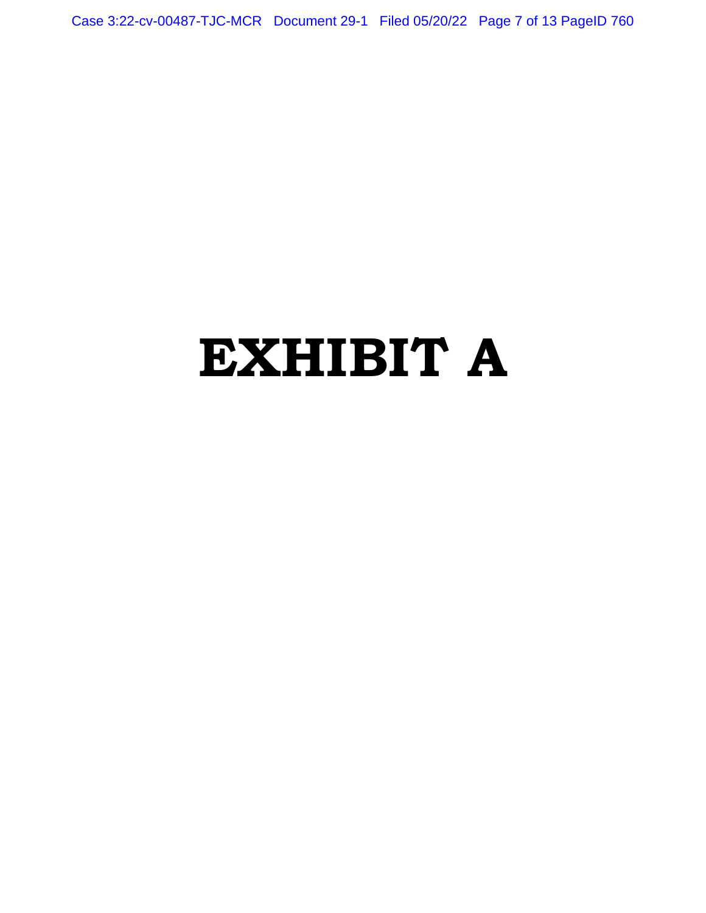Case 3:22-cv-00487-TJC-MCR Document 29-1 Filed 05/20/22 Page 7 of 13 PageID 760

# **EXHIBIT A**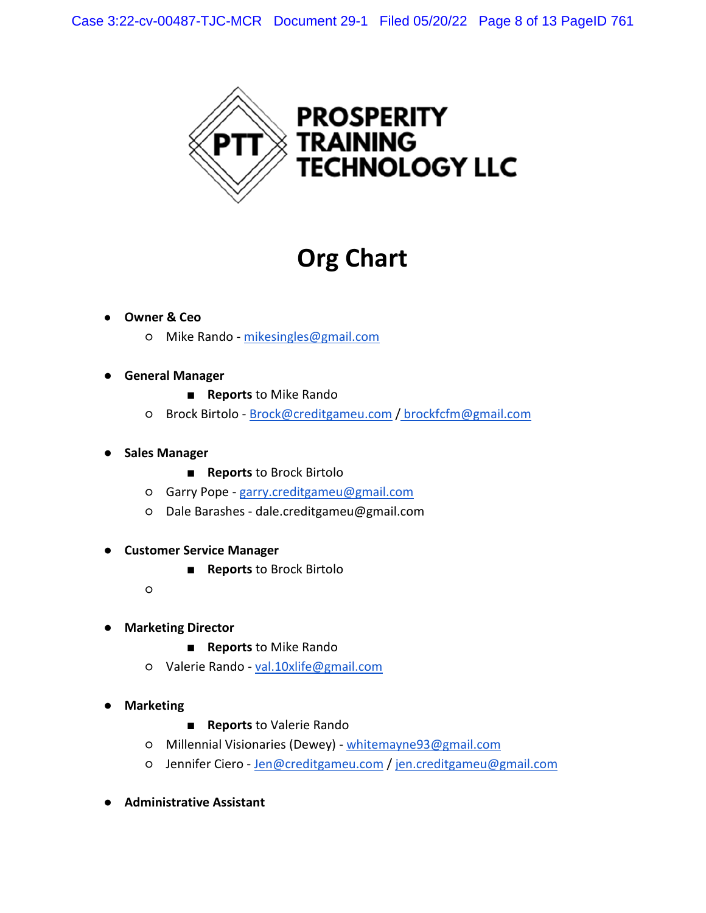

# **Org Chart**

## ● **Owner & Ceo**

- Mike Rando mikesingles@gmail.com
- **General Manager** 
	- **Reports** to Mike Rando
	- Brock Birtolo Brock@creditgameu.com / brockfcfm@gmail.com
- **Sales Manager**
	- **Reports** to Brock Birtolo
	- Garry Pope garry.creditgameu@gmail.com
	- Dale Barashes dale.creditgameu@gmail.com
- **Customer Service Manager** 
	- **Reports** to Brock Birtolo
	- $\circ$
- **Marketing Director** 
	- **Reports** to Mike Rando
	- Valerie Rando val.10xlife@gmail.com
- **Marketing** 
	- **Reports** to Valerie Rando
	- Millennial Visionaries (Dewey) whitemayne93@gmail.com
	- Jennifer Ciero Jen@creditgameu.com / jen.creditgameu@gmail.com
- **Administrative Assistant**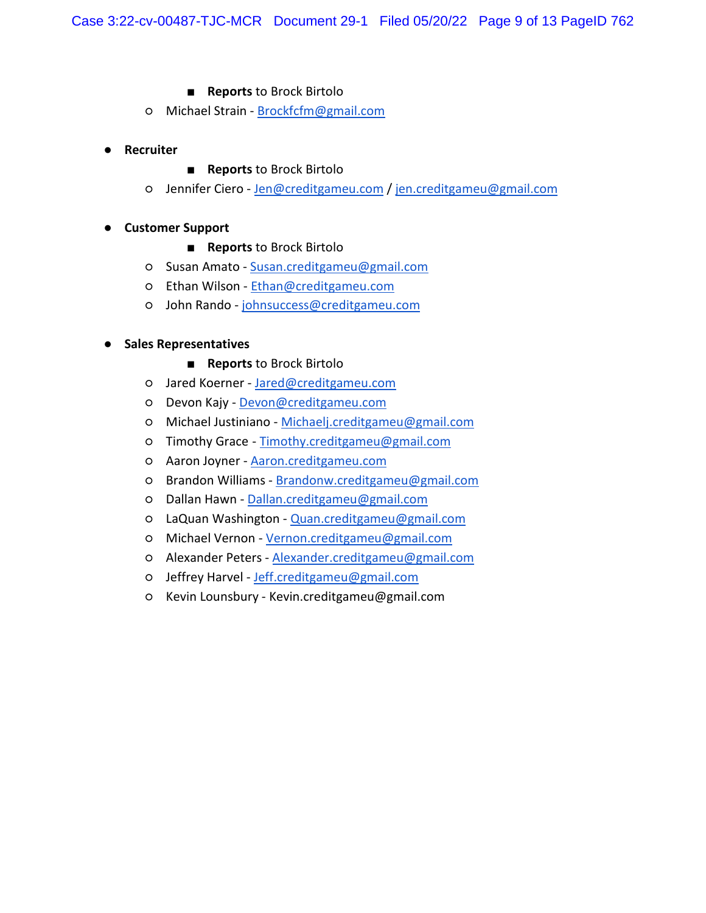### ■ **Reports** to Brock Birtolo

- o Michael Strain Brockfcfm@gmail.com
- **Recruiter**

### ■ **Reports** to Brock Birtolo

○ Jennifer Ciero - Jen@creditgameu.com / jen.creditgameu@gmail.com

## ● **Customer Support**

- **Reports** to Brock Birtolo
- Susan Amato Susan.creditgameu@gmail.com
- Ethan Wilson Ethan@creditgameu.com
- John Rando johnsuccess@creditgameu.com

## ● **Sales Representatives**

- **Reports** to Brock Birtolo
- Jared Koerner Jared@creditgameu.com
- o Devon Kajy Devon@creditgameu.com
- Michael Justiniano Michaelj.creditgameu@gmail.com
- Timothy Grace Timothy.creditgameu@gmail.com
- Aaron Joyner Aaron.creditgameu.com
- Brandon Williams Brandonw.creditgameu@gmail.com
- Dallan Hawn Dallan.creditgameu@gmail.com
- LaQuan Washington Quan.creditgameu@gmail.com
- Michael Vernon Vernon.creditgameu@gmail.com
- Alexander Peters Alexander.creditgameu@gmail.com
- Jeffrey Harvel Jeff.creditgameu@gmail.com
- Kevin Lounsbury Kevin.creditgameu@gmail.com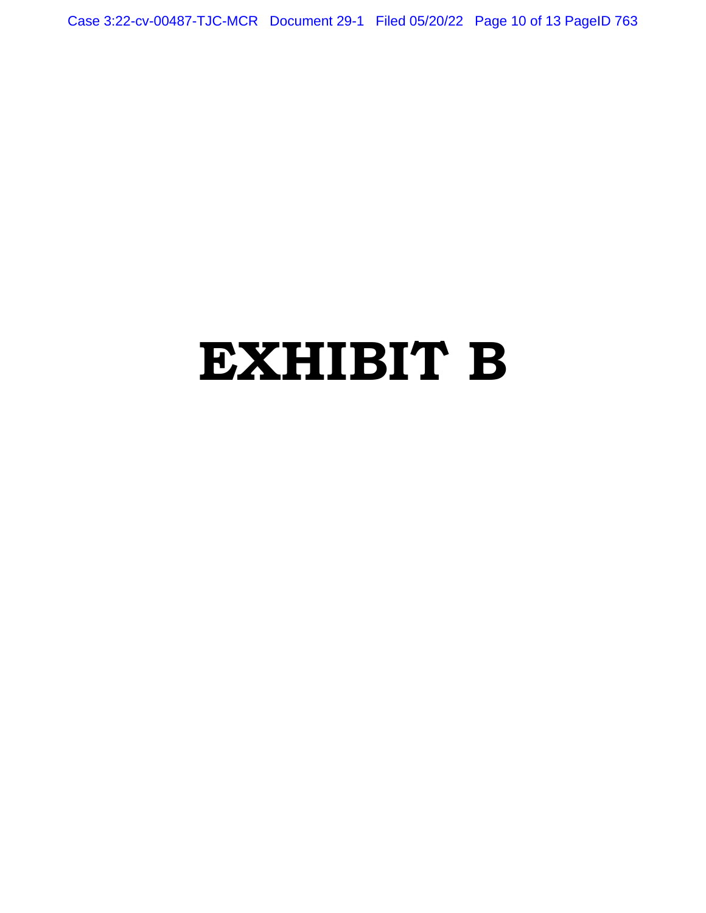Case 3:22-cv-00487-TJC-MCR Document 29-1 Filed 05/20/22 Page 10 of 13 PageID 763

# **EXHIBIT B**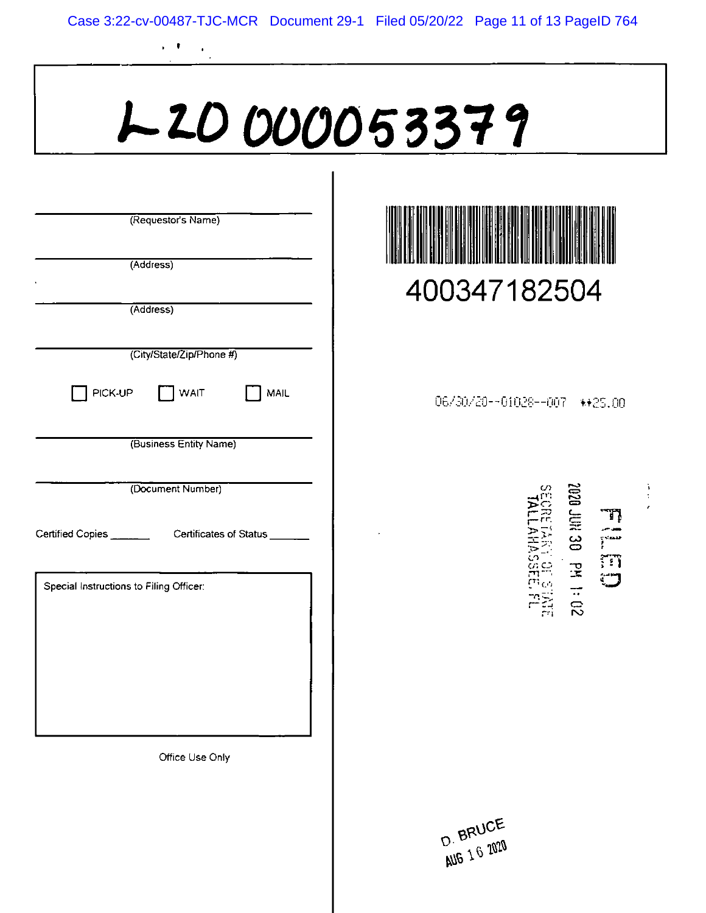# 120000053379

|                                         | (Requestor's Name)                                      |
|-----------------------------------------|---------------------------------------------------------|
|                                         |                                                         |
|                                         | (Address)                                               |
|                                         |                                                         |
|                                         | (Address)                                               |
|                                         |                                                         |
|                                         | (City/State/Zip/Phone #)                                |
|                                         | PICK-UP J WAIT<br>MAIL                                  |
|                                         | (Business Entity Name)                                  |
|                                         |                                                         |
|                                         | (Document Number)                                       |
|                                         |                                                         |
|                                         | Certified Copies _________ Certificates of Status _____ |
|                                         |                                                         |
| Special Instructions to Filing Officer: |                                                         |
|                                         |                                                         |
|                                         |                                                         |
|                                         |                                                         |
|                                         |                                                         |
|                                         |                                                         |
|                                         |                                                         |
|                                         | Office Use Only                                         |
|                                         |                                                         |
|                                         |                                                         |

 $\frac{1}{\sqrt{2}}$ 

 $\cdot$   $\cdot$ 



06/30/20--01028--007 \*\* 25.00



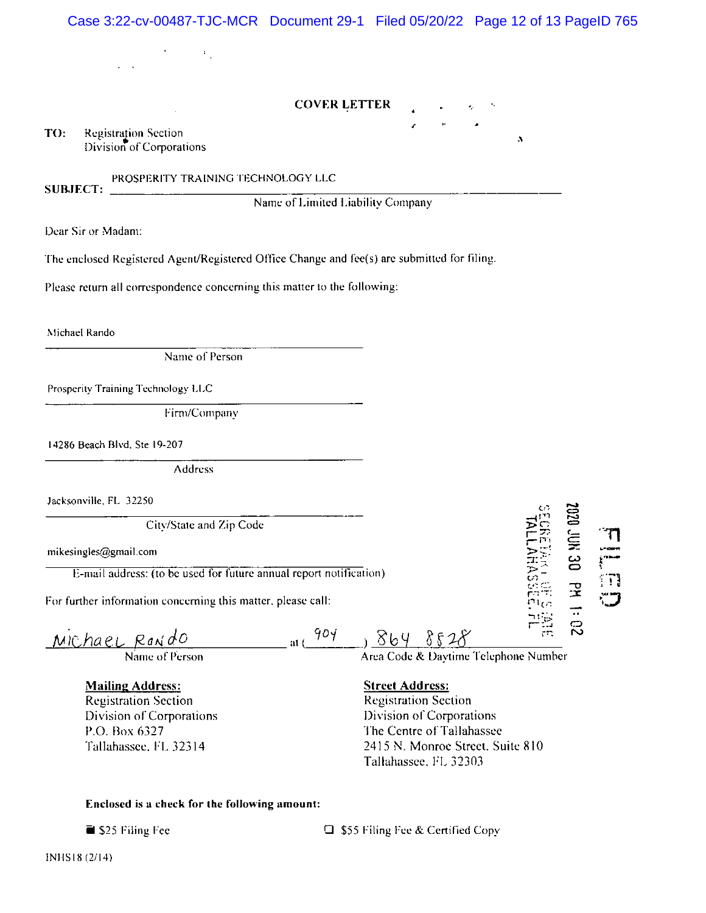| Case 3:22-cv-00487-TJC-MCR Document 29-1 Filed 05/20/22 Page 12 of 13 PageID 765                                             |                                                                                                                                                                             |                    |
|------------------------------------------------------------------------------------------------------------------------------|-----------------------------------------------------------------------------------------------------------------------------------------------------------------------------|--------------------|
| $\mathcal{O}(\mathcal{O}_\mathcal{O})$ , and $\mathcal{O}(\mathcal{O}_\mathcal{O})$                                          |                                                                                                                                                                             |                    |
| <b>COVER LETTER</b>                                                                                                          |                                                                                                                                                                             |                    |
|                                                                                                                              |                                                                                                                                                                             |                    |
| <b>Registration Section</b><br>TO:<br>Division of Corporations                                                               | A                                                                                                                                                                           |                    |
| PROSPERITY TRAINING TECHNOLOGY LLC<br><b>SUBJECT:</b>                                                                        |                                                                                                                                                                             |                    |
| Name of Limited Liability Company                                                                                            |                                                                                                                                                                             |                    |
| Dear Sir or Madam:                                                                                                           |                                                                                                                                                                             |                    |
| The enclosed Registered Agent/Registered Office Change and fee(s) are submitted for filing.                                  |                                                                                                                                                                             |                    |
| Please return all correspondence concerning this matter to the following:                                                    |                                                                                                                                                                             |                    |
| Michael Rando                                                                                                                |                                                                                                                                                                             |                    |
| Name of Person                                                                                                               |                                                                                                                                                                             |                    |
|                                                                                                                              |                                                                                                                                                                             |                    |
| Prosperity Training Technology LLC                                                                                           |                                                                                                                                                                             |                    |
| Firm/Company                                                                                                                 |                                                                                                                                                                             |                    |
| 14286 Beach Blvd, Ste 19-207                                                                                                 |                                                                                                                                                                             |                    |
| <b>Address</b>                                                                                                               |                                                                                                                                                                             |                    |
| Jacksonville, FL 32250                                                                                                       |                                                                                                                                                                             |                    |
| City/State and Zip Code                                                                                                      |                                                                                                                                                                             |                    |
| mikesingles@gmail.com                                                                                                        |                                                                                                                                                                             | <b>DE NAT</b><br>η |
| E-mail address: (to be used for future annual report notification)                                                           |                                                                                                                                                                             | ៊ា                 |
| For further information concerning this matter, please call:                                                                 |                                                                                                                                                                             | PH 1:02            |
| 904<br><u>Michael Rando</u><br>at (                                                                                          | 3648528<br>Area Code & Daytime Telephone Number                                                                                                                             |                    |
|                                                                                                                              |                                                                                                                                                                             |                    |
| <b>Mailing Address:</b><br><b>Registration Section</b><br>Division of Corporations<br>P.O. Box 6327<br>Tallahassee, FL 32314 | <b>Street Address:</b><br><b>Registration Section</b><br>Division of Corporations<br>The Centre of Tallahassee<br>2415 N. Monroe Street, Suite 810<br>Tallahassee, FL 32303 |                    |

## Enclosed is a check for the following amount:

S25 Filing Fee

 $\Box$  \$55 Filing Fee & Certified Copy